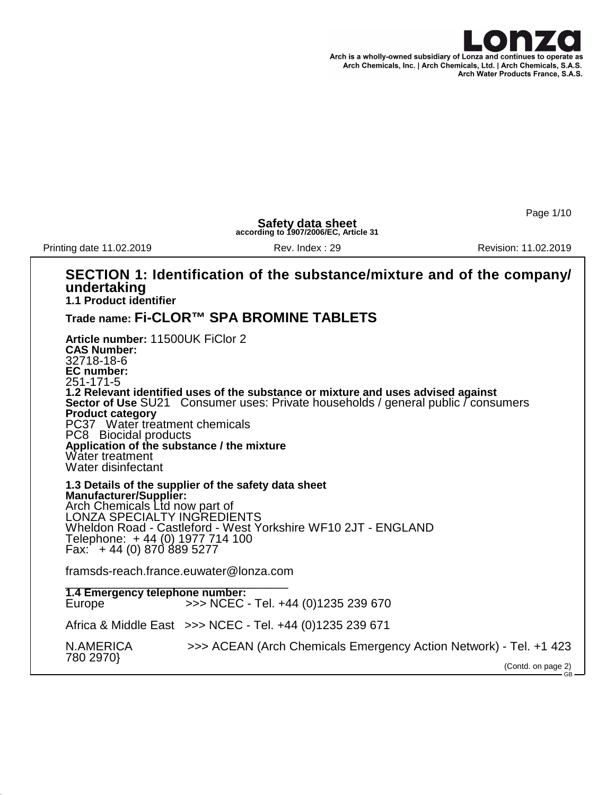

Page 1/10

**Safety data sheet according to 1907/2006/EC, Article 31**

Printing date 11.02.2019 **Rev. Index : 29 Revision: 11.02.2019** Revision: 11.02.2019

#### **SECTION 1: Identification of the substance/mixture and of the company/ undertaking 1.1 Product identifier Trade name: Fi-CLOR™ SPA BROMINE TABLETS Article number:** 11500UK FiClor 2 **CAS Number:** 32718-18-6 **EC number:** 251-171-5 **1.2 Relevant identified uses of the substance or mixture and uses advised against Sector of Use** SU21 Consumer uses: Private households / general public / consumers **Product category** PC37 Water treatment chemicals PC8 Biocidal products **Application of the substance / the mixture** Water treatment Water disinfectant **1.3 Details of the supplier of the safety data sheet Manufacturer/Supplier:** Arch Chemicals Ltd now part of LONZA SPECIALTY INGREDIENTS Wheldon Road - Castleford - West Yorkshire WF10 2JT - ENGLAND Telephone: + 44 (0) 1977 714 100 Fax: + 44 (0) 870 889 5277 framsds-reach.france.euwater@lonza.com \_\_\_\_\_\_\_\_\_\_\_\_\_\_\_\_\_\_\_\_\_\_\_\_\_\_\_\_\_\_\_\_\_ **1.4 Emergency telephone number:** Europe >>> NCEC - Tel. +44 (0)1235 239 670 Africa & Middle East >>> NCEC - Tel. +44 (0)1235 239 671 N.AMERICA >>> ACEAN (Arch Chemicals Emergency Action Network) - Tel. +1 423 780 2970} (Contd. on page 2) GB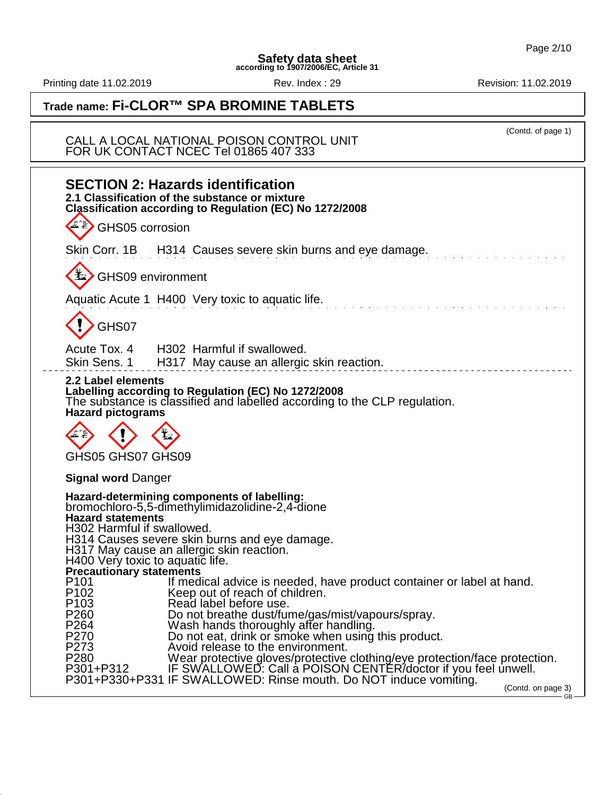Printing date 11.02.2019 **Rev. Index : 29** Rev. Index : 29 Revision: 11.02.2019

(Contd. of page 1)

# **Trade name: Fi-CLOR™ SPA BROMINE TABLETS**

CALL A LOCAL NATIONAL POISON CONTROL UNIT FOR UK CONTACT NCEC Tel 01865 407 333

| <b>SECTION 2: Hazards identification</b><br>2.1 Classification of the substance or mixture<br>Classification according to Regulation (EC) No 1272/2008                                                                                                                                                                                      |
|---------------------------------------------------------------------------------------------------------------------------------------------------------------------------------------------------------------------------------------------------------------------------------------------------------------------------------------------|
| GHS05 corrosion                                                                                                                                                                                                                                                                                                                             |
| Skin Corr. 1B H314 Causes severe skin burns and eye damage.                                                                                                                                                                                                                                                                                 |
| <b>L</b> GHS09 environment                                                                                                                                                                                                                                                                                                                  |
| Aquatic Acute 1 H400 Very toxic to aquatic life.                                                                                                                                                                                                                                                                                            |
| GHS07                                                                                                                                                                                                                                                                                                                                       |
| Acute Tox. 4 H302 Harmful if swallowed.<br>Skin Sens. 1 H317 May cause an allergic skin reaction.                                                                                                                                                                                                                                           |
| 2.2 Label elements<br>Labelling according to Regulation (EC) No 1272/2008<br>The substance is classified and labelled according to the CLP regulation.<br><b>Hazard pictograms</b>                                                                                                                                                          |
| GHS05 GHS07 GHS09                                                                                                                                                                                                                                                                                                                           |
| <b>Signal word Danger</b>                                                                                                                                                                                                                                                                                                                   |
| Hazard-determining components of labelling:<br>bromochloro-5,5-dimethylimidazolidine-2,4-dione<br><b>Hazard statements</b><br>H302 Harmful if swallowed.<br>H314 Causes severe skin burns and eye damage.<br>H317 May cause an allergic skin reaction.<br>H400 Very toxic to aquatic life.<br>Precautionary statements                      |
| P <sub>101</sub><br>If medical advice is needed, have product container or label at hand.<br>P <sub>102</sub><br>Keep out of reach of children.<br>Read label before use.<br>P <sub>103</sub><br>Do not breathe dust/fume/gas/mist/vapours/spray.<br>P260<br>P264<br>Wash hands thoroughly affer handling.                                  |
| P270<br>Do not eat, drink or smoke when using this product.<br>P273<br>Avoid release to the environment.<br>P280 Wear protective gloves/protective clothing/eye protection/face protection.<br>P301+P312 IF SWALLOWED: Call a POISON CENTER/doctor if you feel unwell.<br>P301+P330+P331 IF SWALLOWED: Rinse mouth. Do NOT induce vomiting. |
| (Contd. on page 3)<br>GB                                                                                                                                                                                                                                                                                                                    |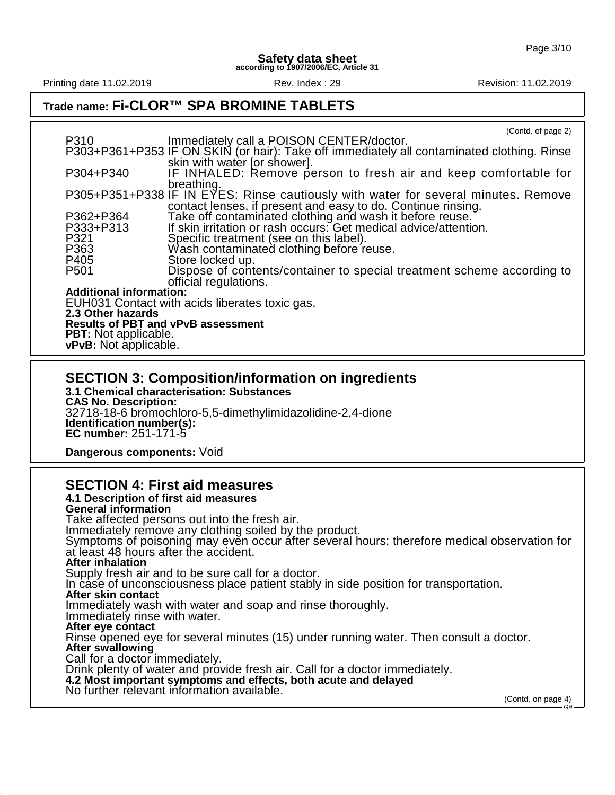Printing date 11.02.2019 **Rev. Index : 29 Revision: 11.02.2019** Revision: 11.02.2019

## **Trade name: Fi-CLOR™ SPA BROMINE TABLETS**

|                                           | (Contd. of page 2)                                                                         |  |  |  |  |
|-------------------------------------------|--------------------------------------------------------------------------------------------|--|--|--|--|
| P310                                      | Immediately call a POISON CENTER/doctor.                                                   |  |  |  |  |
|                                           | P303+P361+P353 IF ON SKIN (or hair): Take off immediately all contaminated clothing. Rinse |  |  |  |  |
|                                           | skin with water [or shower].                                                               |  |  |  |  |
| P304+P340                                 | IF INHALED: Remove person to fresh air and keep comfortable for                            |  |  |  |  |
|                                           | breathing.                                                                                 |  |  |  |  |
|                                           | P305+P351+P338 IF IN EYES: Rinse cautiously with water for several minutes. Remove         |  |  |  |  |
|                                           | contact lenses, if present and easy to do. Continue rinsing.                               |  |  |  |  |
| P362+P364                                 | Take off contaminated clothing and wash it before reuse.                                   |  |  |  |  |
| P333+P313                                 | If skin irritation or rash occurs: Get medical advice/attention.                           |  |  |  |  |
| P321                                      | Specific treatment (see on this label).                                                    |  |  |  |  |
| P363                                      | Wash contaminated clothing before reuse.                                                   |  |  |  |  |
| P405                                      | Store locked up.                                                                           |  |  |  |  |
| P <sub>501</sub>                          | Dispose of contents/container to special treatment scheme according to                     |  |  |  |  |
|                                           | official regulations.                                                                      |  |  |  |  |
| <b>Additional information:</b>            |                                                                                            |  |  |  |  |
|                                           | EUH031 Contact with acids liberates toxic gas.                                             |  |  |  |  |
|                                           |                                                                                            |  |  |  |  |
| 2.3 Other hazards                         |                                                                                            |  |  |  |  |
| <b>Results of PBT and vPvB assessment</b> |                                                                                            |  |  |  |  |
| <b>PBT:</b> Not applicable.               |                                                                                            |  |  |  |  |
| vPvB: Not applicable.                     |                                                                                            |  |  |  |  |

### **SECTION 3: Composition/information on ingredients**

**3.1 Chemical characterisation: Substances CAS No. Description:** 32718-18-6 bromochloro-5,5-dimethylimidazolidine-2,4-dione **Identification number(s): EC number:** 251-171-5

**Dangerous components:** Void

### **SECTION 4: First aid measures**

#### **4.1 Description of first aid measures**

**General information** Take affected persons out into the fresh air. Immediately remove any clothing soiled by the product. Symptoms of poisoning may even occur after several hours; therefore medical observation for at least 48 hours after the accident. **After inhalation** Supply fresh air and to be sure call for a doctor. In case of unconsciousness place patient stably in side position for transportation. **After skin contact** Immediately wash with water and soap and rinse thoroughly. Immediately rinse with water. **After eye contact** Rinse opened eye for several minutes (15) under running water. Then consult a doctor. **After swallowing** Call for a doctor immediately. Drink plenty of water and provide fresh air. Call for a doctor immediately. **4.2 Most important symptoms and effects, both acute and delayed** No further relevant information available.

(Contd. on page 4) GB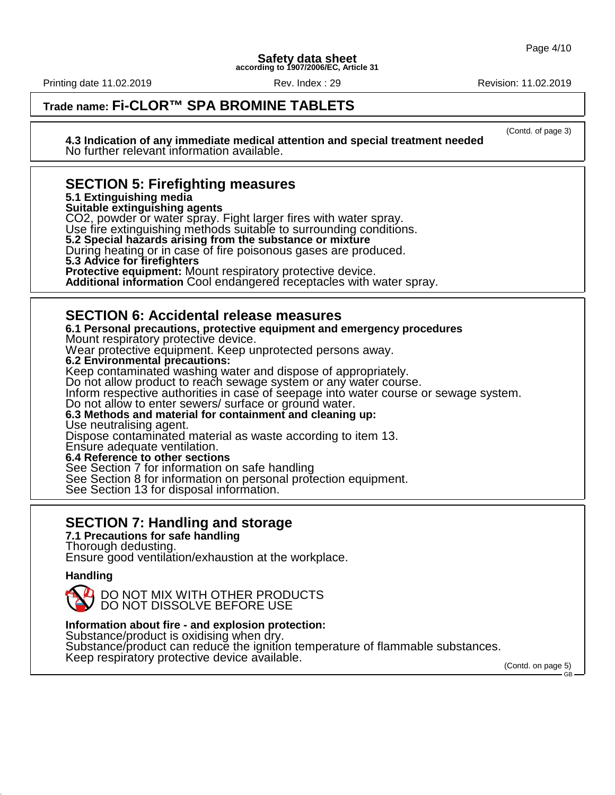Printing date 11.02.2019 **Review Rev. Index : 29 Revision: 11.02.2019** Revision: 11.02.2019

(Contd. of page 3)

# **Trade name: Fi-CLOR™ SPA BROMINE TABLETS**

**4.3 Indication of any immediate medical attention and special treatment needed** No further relevant information available.

### **SECTION 5: Firefighting measures**

**5.1 Extinguishing media**

**Suitable extinguishing agents**

CO2, powder or water spray. Fight larger fires with water spray.

Use fire extinguishing methods suitable to surrounding conditions.

**5.2 Special hazards arising from the substance or mixture**

During heating or in case of fire poisonous gases are produced.

**5.3 Advice for firefighters**

**Protective equipment:** Mount respiratory protective device.

**Additional information** Cool endangered receptacles with water spray.

### **SECTION 6: Accidental release measures**

**6.1 Personal precautions, protective equipment and emergency procedures** Mount respiratory protective device. Wear protective equipment. Keep unprotected persons away. **6.2 Environmental precautions:** Keep contaminated washing water and dispose of appropriately. Do not allow product to reach sewage system or any water course. Inform respective authorities in case of seepage into water course or sewage system. Do not allow to enter sewers/ surface or ground water. **6.3 Methods and material for containment and cleaning up:** Use neutralising agent. Dispose contaminated material as waste according to item 13. Ensure adequate ventilation. **6.4 Reference to other sections** See Section 7 for information on safe handling See Section 8 for information on personal protection equipment. See Section 13 for disposal information.

## **SECTION 7: Handling and storage**

**7.1 Precautions for safe handling** Thorough dedusting. Ensure good ventilation/exhaustion at the workplace.

#### **Handling**

DO NOT MIX WITH OTHER PRODUCTS DO NOT DISSOLVE BEFORE USE

**Information about fire - and explosion protection:**

Substance/product is oxidising when dry. Substance/product can reduce the ignition temperature of flammable substances. Keep respiratory protective device available.

(Contd. on page 5)

GB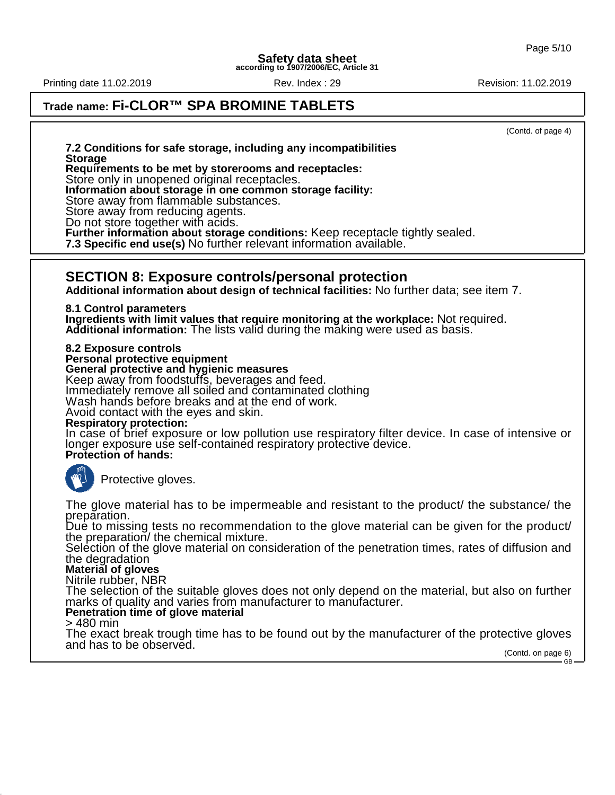Printing date 11.02.2019 **Review Rev. Index : 29 Revision: 11.02.2019** Revision: 11.02.2019

# **Trade name: Fi-CLOR™ SPA BROMINE TABLETS**

(Contd. of page 4)

GB

**7.2 Conditions for safe storage, including any incompatibilities Storage**

**Requirements to be met by storerooms and receptacles:**

Store only in unopened original receptacles.

**Information about storage in one common storage facility:**

Store away from flammable substances.

Store away from reducing agents.

Do not store together with acids.

**Further information about storage conditions:** Keep receptacle tightly sealed.

**7.3 Specific end use(s)** No further relevant information available.

#### **SECTION 8: Exposure controls/personal protection**

**Additional information about design of technical facilities:** No further data; see item 7.

**8.1 Control parameters**

**Ingredients with limit values that require monitoring at the workplace:** Not required. **Additional information:** The lists valid during the making were used as basis.

**8.2 Exposure controls**

**Personal protective equipment**

**General protective and hygienic measures**

Keep away from foodstuffs, beverages and feed.

Immediately remove all soiled and contaminated clothing

Wash hands before breaks and at the end of work.

Avoid contact with the eyes and skin.

#### **Respiratory protection:**

In case of brief exposure or low pollution use respiratory filter device. In case of intensive or longer exposure use self-contained respiratory protective device. **Protection of hands:**



Protective gloves.

The glove material has to be impermeable and resistant to the product/ the substance/ the preparation.

Due to missing tests no recommendation to the glove material can be given for the product/ the preparation/ the chemical mixture.

Selection of the glove material on consideration of the penetration times, rates of diffusion and the degradation

#### **Material of gloves**

Nitrile rubber, NBR

The selection of the suitable gloves does not only depend on the material, but also on further marks of quality and varies from manufacturer to manufacturer.

#### **Penetration time of glove material**

> 480 min

The exact break trough time has to be found out by the manufacturer of the protective gloves and has to be observed. (Contd. on page 6)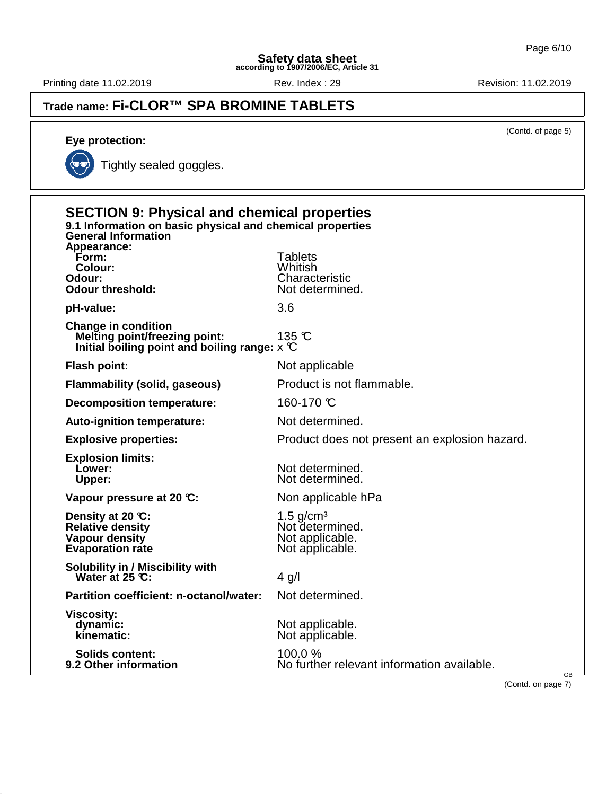Printing date 11.02.2019 **Rev. Index : 29** Rev. Index : 29 Revision: 11.02.2019

**Eye protection:**

# **Trade name: Fi-CLOR™ SPA BROMINE TABLETS**

(Contd. of page 5)

Tightly sealed goggles.

| <b>SECTION 9: Physical and chemical properties</b><br>9.1 Information on basic physical and chemical properties<br><b>General Information</b> |                                                                                  |  |
|-----------------------------------------------------------------------------------------------------------------------------------------------|----------------------------------------------------------------------------------|--|
| Appearance:<br>Form:<br>Colour:<br>Odour:<br><b>Odour threshold:</b>                                                                          | <b>Tablets</b><br>Whitish<br>Characteristic<br>Not determined.                   |  |
| pH-value:                                                                                                                                     | 3.6                                                                              |  |
| <b>Change in condition</b><br><b>Melting point/freezing point:</b><br>Initial boiling point and boiling range: $\times$ $\mathbb C$           | 135 °C                                                                           |  |
| <b>Flash point:</b>                                                                                                                           | Not applicable                                                                   |  |
| <b>Flammability (solid, gaseous)</b>                                                                                                          | Product is not flammable.                                                        |  |
| <b>Decomposition temperature:</b>                                                                                                             | 160-170 ℃                                                                        |  |
| Auto-ignition temperature:                                                                                                                    | Not determined.                                                                  |  |
| <b>Explosive properties:</b>                                                                                                                  | Product does not present an explosion hazard.                                    |  |
| <b>Explosion limits:</b><br>Lower:<br>Upper:                                                                                                  | Not determined.<br>Not determined.                                               |  |
| Vapour pressure at 20 °C:                                                                                                                     | Non applicable hPa                                                               |  |
| Density at 20 °C:<br><b>Relative density</b><br>Vapour density<br><b>Evaporation rate</b>                                                     | $1.5$ g/cm <sup>3</sup><br>Not determined.<br>Not applicable.<br>Not applicable. |  |
| <b>Solubility in / Miscibility with</b><br>Water at $25 \, \text{C}$ :                                                                        | $4$ g/l                                                                          |  |
| Partition coefficient: n-octanol/water:                                                                                                       | Not determined.                                                                  |  |
| <b>Viscosity:</b><br>dynamic:<br>kinematic:                                                                                                   | Not applicable.<br>Not applicable.                                               |  |
| <b>Solids content:</b><br>9.2 Other information                                                                                               | 100.0%<br>No further relevant information available.<br>GB-                      |  |

(Contd. on page 7)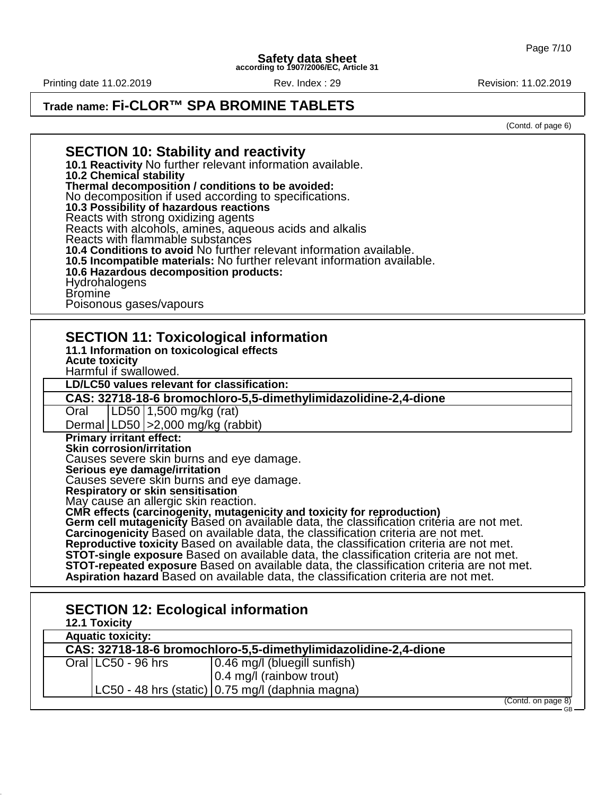Printing date 11.02.2019 **Review Rev. Index : 29 Revision: 11.02.2019** Revision: 11.02.2019

### **Trade name: Fi-CLOR™ SPA BROMINE TABLETS**

(Contd. of page 6)

#### **SECTION 10: Stability and reactivity 10.1 Reactivity** No further relevant information available. **10.2 Chemical stability Thermal decomposition / conditions to be avoided:** No decomposition if used according to specifications. **10.3 Possibility of hazardous reactions** Reacts with strong oxidizing agents Reacts with alcohols, amines, aqueous acids and alkalis Reacts with flammable substances **10.4 Conditions to avoid** No further relevant information available. **10.5 Incompatible materials:** No further relevant information available. **10.6 Hazardous decomposition products:** Hydrohalogens Bromine Poisonous gases/vapours **SECTION 11: Toxicological information 11.1 Information on toxicological effects Acute toxicity** Harmful if swallowed. **LD/LC50 values relevant for classification: CAS: 32718-18-6 bromochloro-5,5-dimethylimidazolidine-2,4-dione** Oral LD50 1,500 mg/kg (rat) Dermal LD50 >2,000 mg/kg (rabbit) **Primary irritant effect: Skin corrosion/irritation** Causes severe skin burns and eye damage. **Serious eye damage/irritation** Causes severe skin burns and eye damage. **Respiratory or skin sensitisation** May cause an allergic skin reaction. **CMR effects (carcinogenity, mutagenicity and toxicity for reproduction) Germ cell mutagenicity** Based on available data, the classification criteria are not met. **Carcinogenicity** Based on available data, the classification criteria are not met. **Reproductive toxicity** Based on available data, the classification criteria are not met. **STOT-single exposure** Based on available data, the classification criteria are not met. **STOT-repeated exposure** Based on available data, the classification criteria are not met. **Aspiration hazard** Based on available data, the classification criteria are not met. **SECTION 12: Ecological information 12.1 Toxicity Aquatic toxicity: CAS: 32718-18-6 bromochloro-5,5-dimethylimidazolidine-2,4-dione** Oral  $|CC50 - 96$  hrs  $|0.46$  mg/l (bluegill sunfish)

0.4 mg/l (rainbow trout)

LC50 - 48 hrs (static)  $(0.75 \text{ mg/II})$  (daphnia magna)

(Contd. on page 8) GB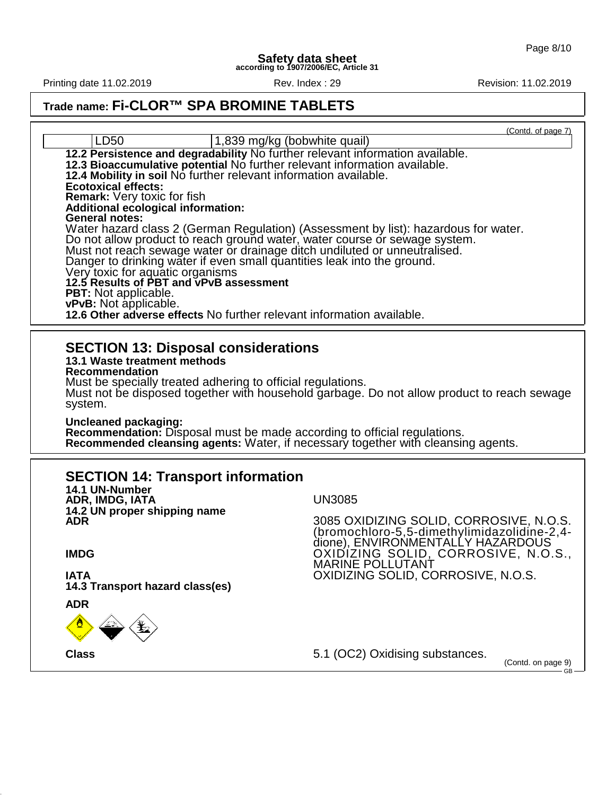Printing date 11.02.2019 **Rev. Index : 29** Rev. Index : 29 Revision: 11.02.2019

# **Trade name: Fi-CLOR™ SPA BROMINE TABLETS**

(Contd. of page 7)

| LD50                                                                                                                                                                                                                                                                                                                                                                                                                                                                                                                                                                                                                                                                                                                                                                                                                    | <u>Comu or page</u> 1)<br>1,839 mg/kg (bobwhite quail)                                                                                                                          |
|-------------------------------------------------------------------------------------------------------------------------------------------------------------------------------------------------------------------------------------------------------------------------------------------------------------------------------------------------------------------------------------------------------------------------------------------------------------------------------------------------------------------------------------------------------------------------------------------------------------------------------------------------------------------------------------------------------------------------------------------------------------------------------------------------------------------------|---------------------------------------------------------------------------------------------------------------------------------------------------------------------------------|
| 12.2 Persistence and degradability No further relevant information available.<br>12.3 Bioaccumulative potential No further relevant information available.<br>12.4 Mobility in soil No further relevant information available.<br><b>Ecotoxical effects:</b><br><b>Remark:</b> Very toxic for fish<br><b>Additional ecological information:</b><br><b>General notes:</b><br>Do not allow product to reach ground water, water course or sewage system.<br>Must not reach sewage water or drainage ditch undiluted or unneutralised.<br>Danger to drinking water if even small quantities leak into the ground.<br>Very toxic for aquatic organisms<br>12.5 Results of PBT and vPvB assessment<br>PBT: Not applicable.<br>vPvB: Not applicable.<br>12.6 Other adverse effects No further relevant information available. | Water hazard class 2 (German Regulation) (Assessment by list): hazardous for water.                                                                                             |
| <b>SECTION 13: Disposal considerations</b><br>13.1 Waste treatment methods<br>Recommendation<br>Must be specially treated adhering to official regulations.<br>system.<br>Uncleaned packaging:<br>Recommendation: Disposal must be made according to official regulations.                                                                                                                                                                                                                                                                                                                                                                                                                                                                                                                                              | Must not be disposed together with household garbage. Do not allow product to reach sewage<br>Recommended cleansing agents: Water, if necessary together with cleansing agents. |
| <b>SECTION 14: Transport information</b>                                                                                                                                                                                                                                                                                                                                                                                                                                                                                                                                                                                                                                                                                                                                                                                |                                                                                                                                                                                 |
| 14.1 UN-Number<br>ADR, IMDG, IATA                                                                                                                                                                                                                                                                                                                                                                                                                                                                                                                                                                                                                                                                                                                                                                                       | <b>UN3085</b>                                                                                                                                                                   |
| 14.2 UN proper shipping name<br><b>ADR</b>                                                                                                                                                                                                                                                                                                                                                                                                                                                                                                                                                                                                                                                                                                                                                                              | 3085 OXIDIZING SOLID, CORROSIVE, N.O.S.                                                                                                                                         |
|                                                                                                                                                                                                                                                                                                                                                                                                                                                                                                                                                                                                                                                                                                                                                                                                                         | (bromochloro-5,5-dimethylimidazolidine-2,4-<br>dione), ENVIRONMENTALLY HAZARDOUS                                                                                                |
| <b>IMDG</b>                                                                                                                                                                                                                                                                                                                                                                                                                                                                                                                                                                                                                                                                                                                                                                                                             | <u>OXIDIZING SOLID, CORROSIVE, N.O.S., </u><br><b>MARINE POLLUTANT</b>                                                                                                          |
| <b>IATA</b>                                                                                                                                                                                                                                                                                                                                                                                                                                                                                                                                                                                                                                                                                                                                                                                                             | OXIDIZING SOLID, CORROSIVE, N.O.S.                                                                                                                                              |
| 14.3 Transport hazard class(es)<br><b>ADR</b>                                                                                                                                                                                                                                                                                                                                                                                                                                                                                                                                                                                                                                                                                                                                                                           |                                                                                                                                                                                 |
|                                                                                                                                                                                                                                                                                                                                                                                                                                                                                                                                                                                                                                                                                                                                                                                                                         |                                                                                                                                                                                 |
| <b>Class</b>                                                                                                                                                                                                                                                                                                                                                                                                                                                                                                                                                                                                                                                                                                                                                                                                            | 5.1 (OC2) Oxidising substances.<br>(Contd. on page 9)                                                                                                                           |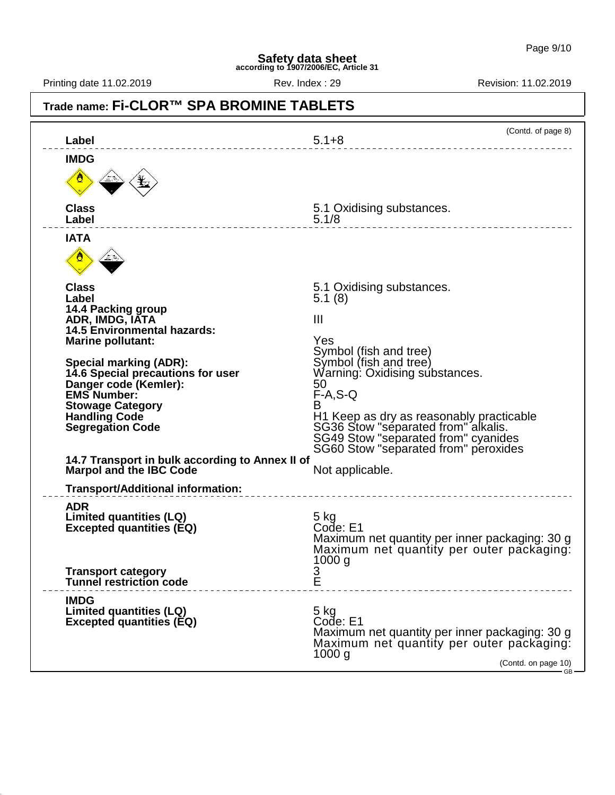Printing date 11.02.2019 **Review Rev. Index : 29 Revision: 11.02.2019** Revision: 11.02.2019

#### **Trade name: Fi-CLOR™ SPA BROMINE TABLETS** (Contd. of page 8) **Label** 5.1+8 **IMDG Class** 5.1 Oxidising substances. **Label** 5.1/8 **IATA Class** 5.1 Oxidising substances. **Label** 5.1 (8) **14.4 Packing group ADR, IMDG, IATA** III **14.5 Environmental hazards: Marine pollutant:** Yes Symbol (fish and tree)<br>Symbol (fish and tree) **Special marking (ADR): Warning: Oxidising substances.**<br>50 **Danger code (Kemler): 50 <br><b>EMS Number:** F-A,S-Q **EMS Number:** F-A,S-Q, A,S-Q, A,S-Q, A,S-Q, A,S-Q, A,S-Q, A,S-Q, A,S-Q, A,S-Q, A,S-Q, A,S-Q, A,S-Q, A,S-Q, A,S-Q, A,S-Q, A,S-Q, A,S-Q, A,S-Q, A,S-Q, A,S-Q, A,S-Q, A,S-Q, A,S-Q, A,S-Q, A,S-Q, A,S-Q, A,S-Q, A,S-Q, A,S-Q, A,S **Stowage Category<br>Handling Code Handling Code H1 Keep as dry as reasonably practicable Segregation Code** SG36 Stow "separated from" alkalis. SG49 Stow "separated from" cyanides SG60 Stow "separated from" peroxides **14.7 Transport in bulk according to Annex II of Marpol and the IBC Code** Not applicable. **Transport/Additional information: ADR Limited quantities (LQ) 5 kg**<br>Excepted quantities (EQ) Code: E1 **Excepted quantities (EQ)** Maximum net quantity per inner packaging: 30 g Maximum net quantity per outer packaging: 1000 g<br>3<br>E **Transport category Tunnel restriction code IMDG** Limited quantities (LQ)<br>
Excepted quantities (EQ) **Excepted quantities (EQ) Excepted quantities (EQ)** Maximum net quantity per inner packaging: 30 g Maximum net quantity per outer packaging: 1000 g (Contd. on page 10) GB